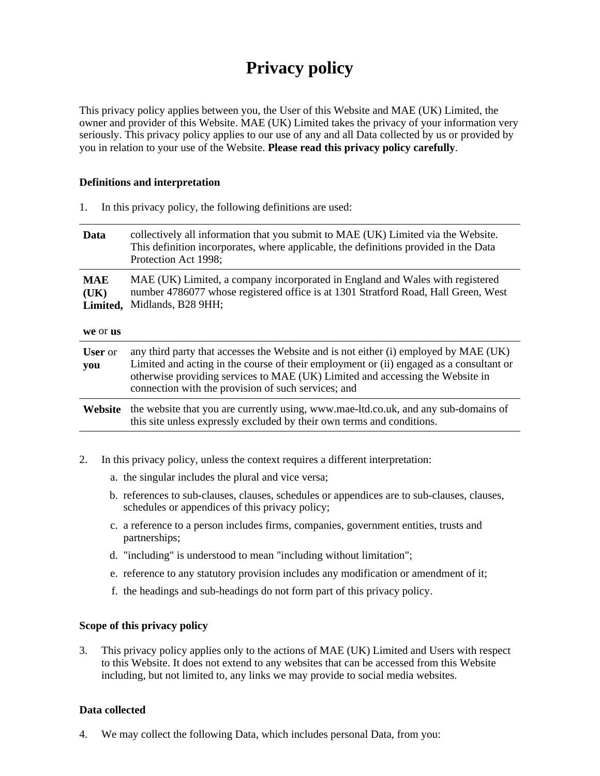# **Privacy policy**

This privacy policy applies between you, the User of this Website and MAE (UK) Limited, the owner and provider of this Website. MAE (UK) Limited takes the privacy of your information very seriously. This privacy policy applies to our use of any and all Data collected by us or provided by you in relation to your use of the Website. **Please read this privacy policy carefully**.

#### **Definitions and interpretation**

| Data                                       | collectively all information that you submit to MAE (UK) Limited via the Website.<br>This definition incorporates, where applicable, the definitions provided in the Data<br>Protection Act 1998;                                                                                                                       |
|--------------------------------------------|-------------------------------------------------------------------------------------------------------------------------------------------------------------------------------------------------------------------------------------------------------------------------------------------------------------------------|
| <b>MAE</b><br>(UK)<br>Limited,<br>we or us | MAE (UK) Limited, a company incorporated in England and Wales with registered<br>number 4786077 whose registered office is at 1301 Stratford Road, Hall Green, West<br>Midlands, B28 9HH;                                                                                                                               |
| <b>User</b> or<br>you                      | any third party that accesses the Website and is not either (i) employed by MAE (UK)<br>Limited and acting in the course of their employment or (ii) engaged as a consultant or<br>otherwise providing services to MAE (UK) Limited and accessing the Website in<br>connection with the provision of such services; and |
| Website                                    | the website that you are currently using, www.mae-ltd.co.uk, and any sub-domains of<br>this site unless expressly excluded by their own terms and conditions.                                                                                                                                                           |

- 2. In this privacy policy, unless the context requires a different interpretation:
	- a. the singular includes the plural and vice versa;

1. In this privacy policy, the following definitions are used:

- b. references to sub-clauses, clauses, schedules or appendices are to sub-clauses, clauses, schedules or appendices of this privacy policy;
- c. a reference to a person includes firms, companies, government entities, trusts and partnerships;
- d. "including" is understood to mean "including without limitation";
- e. reference to any statutory provision includes any modification or amendment of it;
- f. the headings and sub-headings do not form part of this privacy policy.

## **Scope of this privacy policy**

3. This privacy policy applies only to the actions of MAE (UK) Limited and Users with respect to this Website. It does not extend to any websites that can be accessed from this Website including, but not limited to, any links we may provide to social media websites.

## **Data collected**

4. We may collect the following Data, which includes personal Data, from you: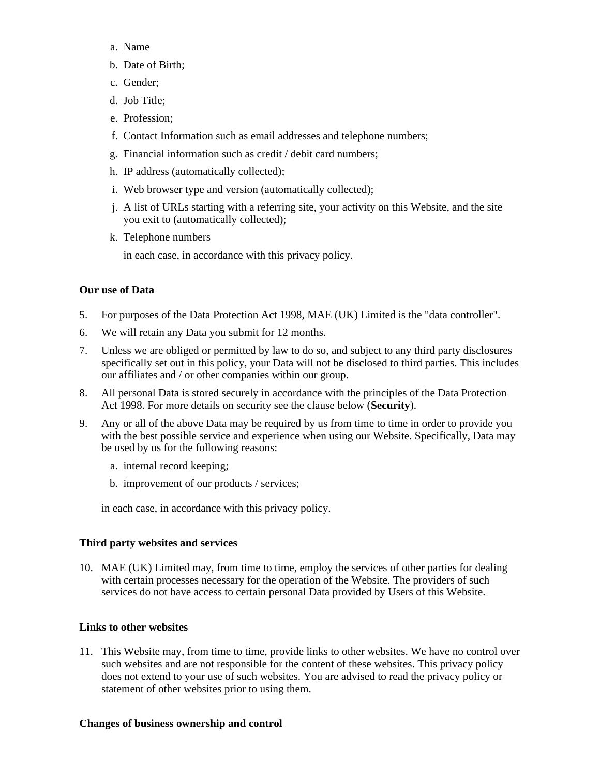- a. Name
- b. Date of Birth;
- c. Gender;
- d. Job Title;
- e. Profession;
- f. Contact Information such as email addresses and telephone numbers;
- g. Financial information such as credit / debit card numbers;
- h. IP address (automatically collected);
- i. Web browser type and version (automatically collected);
- j. A list of URLs starting with a referring site, your activity on this Website, and the site you exit to (automatically collected);
- k. Telephone numbers

in each case, in accordance with this privacy policy.

## **Our use of Data**

- 5. For purposes of the Data Protection Act 1998, MAE (UK) Limited is the "data controller".
- 6. We will retain any Data you submit for 12 months.
- 7. Unless we are obliged or permitted by law to do so, and subject to any third party disclosures specifically set out in this policy, your Data will not be disclosed to third parties. This includes our affiliates and / or other companies within our group.
- 8. All personal Data is stored securely in accordance with the principles of the Data Protection Act 1998. For more details on security see the clause below (**Security**).
- 9. Any or all of the above Data may be required by us from time to time in order to provide you with the best possible service and experience when using our Website. Specifically, Data may be used by us for the following reasons:
	- a. internal record keeping;
	- b. improvement of our products / services;

in each case, in accordance with this privacy policy.

## **Third party websites and services**

10. MAE (UK) Limited may, from time to time, employ the services of other parties for dealing with certain processes necessary for the operation of the Website. The providers of such services do not have access to certain personal Data provided by Users of this Website.

## **Links to other websites**

11. This Website may, from time to time, provide links to other websites. We have no control over such websites and are not responsible for the content of these websites. This privacy policy does not extend to your use of such websites. You are advised to read the privacy policy or statement of other websites prior to using them.

## **Changes of business ownership and control**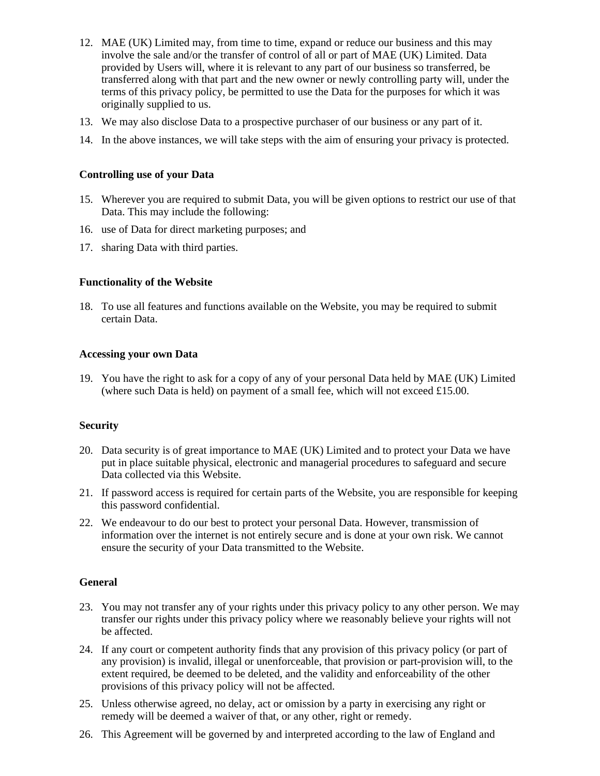- 12. MAE (UK) Limited may, from time to time, expand or reduce our business and this may involve the sale and/or the transfer of control of all or part of MAE (UK) Limited. Data provided by Users will, where it is relevant to any part of our business so transferred, be transferred along with that part and the new owner or newly controlling party will, under the terms of this privacy policy, be permitted to use the Data for the purposes for which it was originally supplied to us.
- 13. We may also disclose Data to a prospective purchaser of our business or any part of it.
- 14. In the above instances, we will take steps with the aim of ensuring your privacy is protected.

## **Controlling use of your Data**

- 15. Wherever you are required to submit Data, you will be given options to restrict our use of that Data. This may include the following:
- 16. use of Data for direct marketing purposes; and
- 17. sharing Data with third parties.

## **Functionality of the Website**

18. To use all features and functions available on the Website, you may be required to submit certain Data.

## **Accessing your own Data**

19. You have the right to ask for a copy of any of your personal Data held by MAE (UK) Limited (where such Data is held) on payment of a small fee, which will not exceed £15.00.

## **Security**

- 20. Data security is of great importance to MAE (UK) Limited and to protect your Data we have put in place suitable physical, electronic and managerial procedures to safeguard and secure Data collected via this Website.
- 21. If password access is required for certain parts of the Website, you are responsible for keeping this password confidential.
- 22. We endeavour to do our best to protect your personal Data. However, transmission of information over the internet is not entirely secure and is done at your own risk. We cannot ensure the security of your Data transmitted to the Website.

## **General**

- 23. You may not transfer any of your rights under this privacy policy to any other person. We may transfer our rights under this privacy policy where we reasonably believe your rights will not be affected.
- 24. If any court or competent authority finds that any provision of this privacy policy (or part of any provision) is invalid, illegal or unenforceable, that provision or part-provision will, to the extent required, be deemed to be deleted, and the validity and enforceability of the other provisions of this privacy policy will not be affected.
- 25. Unless otherwise agreed, no delay, act or omission by a party in exercising any right or remedy will be deemed a waiver of that, or any other, right or remedy.
- 26. This Agreement will be governed by and interpreted according to the law of England and